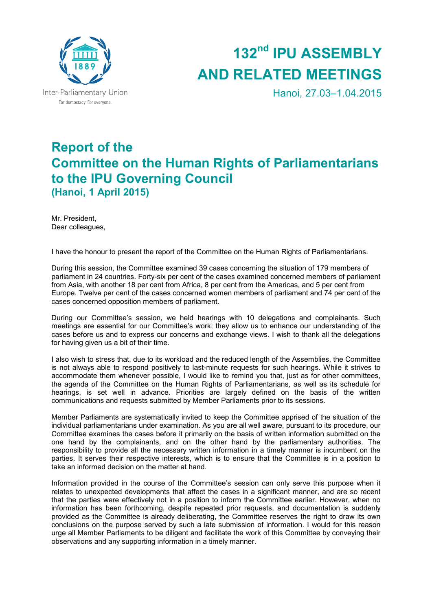

# **132nd IPU ASSEMBLY AND RELATED MEETINGS**

Hanoi, 27.03–1.04.2015

## **Report of the Committee on the Human Rights of Parliamentarians to the IPU Governing Council (Hanoi, 1 April 2015)**

Mr. President, Dear colleagues,

I have the honour to present the report of the Committee on the Human Rights of Parliamentarians.

During this session, the Committee examined 39 cases concerning the situation of 179 members of parliament in 24 countries. Forty-six per cent of the cases examined concerned members of parliament from Asia, with another 18 per cent from Africa, 8 per cent from the Americas, and 5 per cent from Europe. Twelve per cent of the cases concerned women members of parliament and 74 per cent of the cases concerned opposition members of parliament.

During our Committee's session, we held hearings with 10 delegations and complainants. Such meetings are essential for our Committee's work; they allow us to enhance our understanding of the cases before us and to express our concerns and exchange views. I wish to thank all the delegations for having given us a bit of their time.

I also wish to stress that, due to its workload and the reduced length of the Assemblies, the Committee is not always able to respond positively to last-minute requests for such hearings. While it strives to accommodate them whenever possible, I would like to remind you that, just as for other committees, the agenda of the Committee on the Human Rights of Parliamentarians, as well as its schedule for hearings, is set well in advance. Priorities are largely defined on the basis of the written communications and requests submitted by Member Parliaments prior to its sessions.

Member Parliaments are systematically invited to keep the Committee apprised of the situation of the individual parliamentarians under examination. As you are all well aware, pursuant to its procedure, our Committee examines the cases before it primarily on the basis of written information submitted on the one hand by the complainants, and on the other hand by the parliamentary authorities. The responsibility to provide all the necessary written information in a timely manner is incumbent on the parties. It serves their respective interests, which is to ensure that the Committee is in a position to take an informed decision on the matter at hand.

Information provided in the course of the Committee's session can only serve this purpose when it relates to unexpected developments that affect the cases in a significant manner, and are so recent that the parties were effectively not in a position to inform the Committee earlier. However, when no information has been forthcoming, despite repeated prior requests, and documentation is suddenly provided as the Committee is already deliberating, the Committee reserves the right to draw its own conclusions on the purpose served by such a late submission of information. I would for this reason urge all Member Parliaments to be diligent and facilitate the work of this Committee by conveying their observations and any supporting information in a timely manner.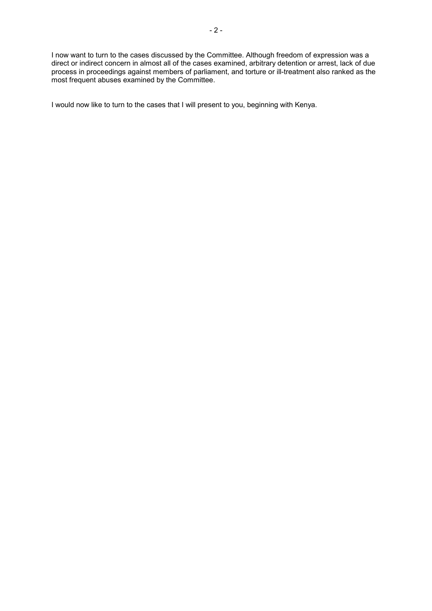I now want to turn to the cases discussed by the Committee. Although freedom of expression was a direct or indirect concern in almost all of the cases examined, arbitrary detention or arrest, lack of due process in proceedings against members of parliament, and torture or ill-treatment also ranked as the most frequent abuses examined by the Committee.

I would now like to turn to the cases that I will present to you, beginning with Kenya.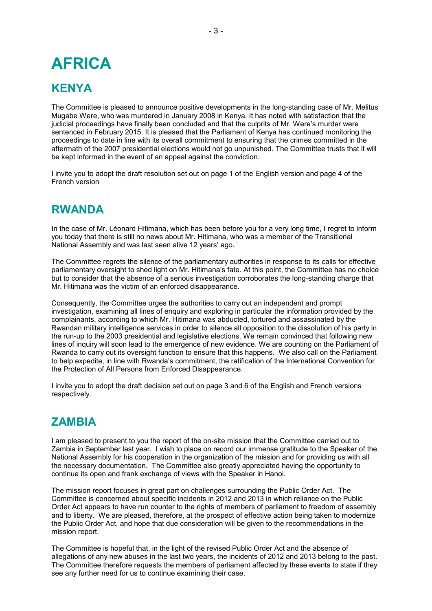## **AFRICA**

### **KENYA**

The Committee is pleased to announce positive developments in the long-standing case of Mr. Melitus Mugabe Were, who was murdered in January 2008 in Kenya. It has noted with satisfaction that the judicial proceedings have finally been concluded and that the culprits of Mr. Were's murder were sentenced in February 2015. It is pleased that the Parliament of Kenya has continued monitoring the proceedings to date in line with its overall commitment to ensuring that the crimes committed in the aftermath of the 2007 presidential elections would not go unpunished. The Committee trusts that it will be kept informed in the event of an appeal against the conviction.

I invite you to adopt the draft resolution set out on page 1 of the English version and page 4 of the French version

### **RWANDA**

In the case of Mr. Léonard Hitimana, which has been before you for a very long time, I regret to inform you today that there is still no news about Mr. Hitimana, who was a member of the Transitional National Assembly and was last seen alive 12 years' ago.

The Committee regrets the silence of the parliamentary authorities in response to its calls for effective parliamentary oversight to shed light on Mr. Hitimana's fate. At this point, the Committee has no choice but to consider that the absence of a serious investigation corroborates the long-standing charge that Mr. Hitimana was the victim of an enforced disappearance.

Consequently, the Committee urges the authorities to carry out an independent and prompt investigation, examining all lines of enquiry and exploring in particular the information provided by the complainants, according to which Mr. Hitimana was abducted, tortured and assassinated by the Rwandan military intelligence services in order to silence all opposition to the dissolution of his party in the run-up to the 2003 presidential and legislative elections. We remain convinced that following new lines of inquiry will soon lead to the emergence of new evidence. We are counting on the Parliament of Rwanda to carry out its oversight function to ensure that this happens. We also call on the Parliament to help expedite, in line with Rwanda's commitment, the ratification of the International Convention for the Protection of All Persons from Enforced Disappearance.

I invite you to adopt the draft decision set out on page 3 and 6 of the English and French versions respectively.

### **ZAMBIA**

I am pleased to present to you the report of the on-site mission that the Committee carried out to Zambia in September last year. I wish to place on record our immense gratitude to the Speaker of the National Assembly for his cooperation in the organization of the mission and for providing us with all the necessary documentation. The Committee also greatly appreciated having the opportunity to continue its open and frank exchange of views with the Speaker in Hanoi.

The mission report focuses in great part on challenges surrounding the Public Order Act. The Committee is concerned about specific incidents in 2012 and 2013 in which reliance on the Public Order Act appears to have run counter to the rights of members of parliament to freedom of assembly and to liberty. We are pleased, therefore, at the prospect of effective action being taken to modernize the Public Order Act, and hope that due consideration will be given to the recommendations in the mission report.

The Committee is hopeful that, in the light of the revised Public Order Act and the absence of allegations of any new abuses in the last two years, the incidents of 2012 and 2013 belong to the past. The Committee therefore requests the members of parliament affected by these events to state if they see any further need for us to continue examining their case.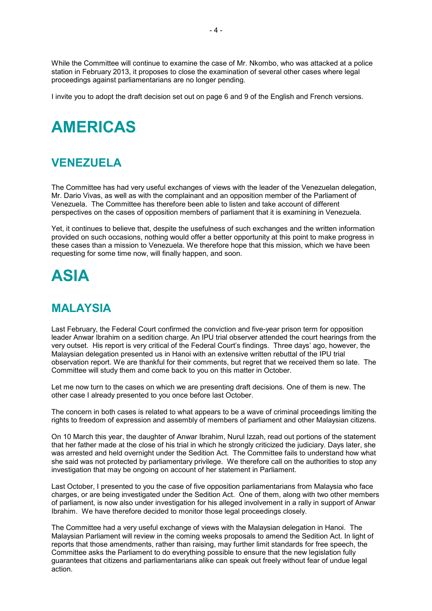While the Committee will continue to examine the case of Mr. Nkombo, who was attacked at a police station in February 2013, it proposes to close the examination of several other cases where legal proceedings against parliamentarians are no longer pending.

I invite you to adopt the draft decision set out on page 6 and 9 of the English and French versions.

## **AMERICAS**

### **VENEZUELA**

The Committee has had very useful exchanges of views with the leader of the Venezuelan delegation, Mr. Dario Vivas, as well as with the complainant and an opposition member of the Parliament of Venezuela. The Committee has therefore been able to listen and take account of different perspectives on the cases of opposition members of parliament that it is examining in Venezuela.

Yet, it continues to believe that, despite the usefulness of such exchanges and the written information provided on such occasions, nothing would offer a better opportunity at this point to make progress in these cases than a mission to Venezuela. We therefore hope that this mission, which we have been requesting for some time now, will finally happen, and soon.

## **ASIA**

## **MALAYSIA**

Last February, the Federal Court confirmed the conviction and five-year prison term for opposition leader Anwar Ibrahim on a sedition charge. An IPU trial observer attended the court hearings from the very outset. His report is very critical of the Federal Court's findings. Three days' ago, however, the Malaysian delegation presented us in Hanoi with an extensive written rebuttal of the IPU trial observation report. We are thankful for their comments, but regret that we received them so late. The Committee will study them and come back to you on this matter in October.

Let me now turn to the cases on which we are presenting draft decisions. One of them is new. The other case I already presented to you once before last October.

The concern in both cases is related to what appears to be a wave of criminal proceedings limiting the rights to freedom of expression and assembly of members of parliament and other Malaysian citizens.

On 10 March this year, the daughter of Anwar Ibrahim, Nurul Izzah, read out portions of the statement that her father made at the close of his trial in which he strongly criticized the judiciary. Days later, she was arrested and held overnight under the Sedition Act. The Committee fails to understand how what she said was not protected by parliamentary privilege. We therefore call on the authorities to stop any investigation that may be ongoing on account of her statement in Parliament.

Last October, I presented to you the case of five opposition parliamentarians from Malaysia who face charges, or are being investigated under the Sedition Act. One of them, along with two other members of parliament, is now also under investigation for his alleged involvement in a rally in support of Anwar Ibrahim. We have therefore decided to monitor those legal proceedings closely.

The Committee had a very useful exchange of views with the Malaysian delegation in Hanoi. The Malaysian Parliament will review in the coming weeks proposals to amend the Sedition Act. In light of reports that those amendments, rather than raising, may further limit standards for free speech, the Committee asks the Parliament to do everything possible to ensure that the new legislation fully guarantees that citizens and parliamentarians alike can speak out freely without fear of undue legal action.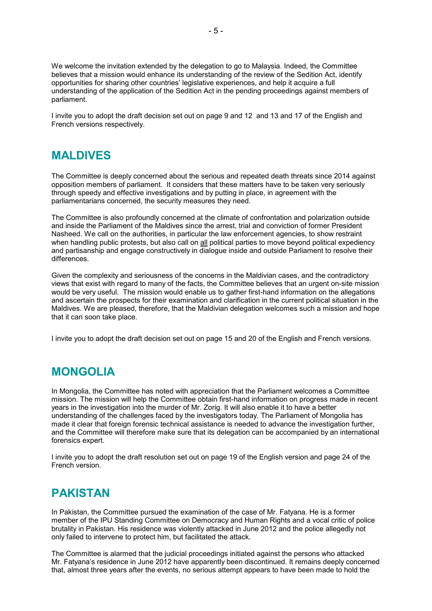We welcome the invitation extended by the delegation to go to Malaysia. Indeed, the Committee believes that a mission would enhance its understanding of the review of the Sedition Act, identify opportunities for sharing other countries' legislative experiences, and help it acquire a full understanding of the application of the Sedition Act in the pending proceedings against members of parliament.

I invite you to adopt the draft decision set out on page 9 and 12 and 13 and 17 of the English and French versions respectively.

#### **MALDIVES**

The Committee is deeply concerned about the serious and repeated death threats since 2014 against opposition members of parliament. It considers that these matters have to be taken very seriously through speedy and effective investigations and by putting in place, in agreement with the parliamentarians concerned, the security measures they need.

The Committee is also profoundly concerned at the climate of confrontation and polarization outside and inside the Parliament of the Maldives since the arrest, trial and conviction of former President Nasheed. We call on the authorities, in particular the law enforcement agencies, to show restraint when handling public protests, but also call on all political parties to move beyond political expediency and partisanship and engage constructively in dialogue inside and outside Parliament to resolve their differences.

Given the complexity and seriousness of the concerns in the Maldivian cases, and the contradictory views that exist with regard to many of the facts, the Committee believes that an urgent on-site mission would be very useful. The mission would enable us to gather first-hand information on the allegations and ascertain the prospects for their examination and clarification in the current political situation in the Maldives. We are pleased, therefore, that the Maldivian delegation welcomes such a mission and hope that it can soon take place.

I invite you to adopt the draft decision set out on page 15 and 20 of the English and French versions.

### **MONGOLIA**

In Mongolia, the Committee has noted with appreciation that the Parliament welcomes a Committee mission. The mission will help the Committee obtain first-hand information on progress made in recent years in the investigation into the murder of Mr. Zorig. It will also enable it to have a better understanding of the challenges faced by the investigators today. The Parliament of Mongolia has made it clear that foreign forensic technical assistance is needed to advance the investigation further, and the Committee will therefore make sure that its delegation can be accompanied by an international forensics expert.

I invite you to adopt the draft resolution set out on page 19 of the English version and page 24 of the French version.

### **PAKISTAN**

In Pakistan, the Committee pursued the examination of the case of Mr. Fatyana. He is a former member of the IPU Standing Committee on Democracy and Human Rights and a vocal critic of police brutality in Pakistan. His residence was violently attacked in June 2012 and the police allegedly not only failed to intervene to protect him, but facilitated the attack.

The Committee is alarmed that the judicial proceedings initiated against the persons who attacked Mr. Fatyana's residence in June 2012 have apparently been discontinued. It remains deeply concerned that, almost three years after the events, no serious attempt appears to have been made to hold the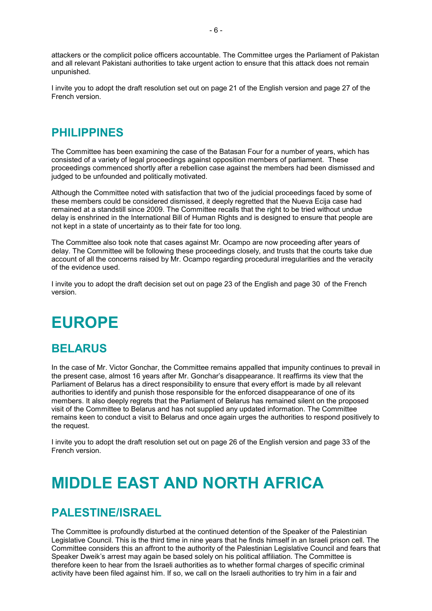attackers or the complicit police officers accountable. The Committee urges the Parliament of Pakistan and all relevant Pakistani authorities to take urgent action to ensure that this attack does not remain unpunished.

I invite you to adopt the draft resolution set out on page 21 of the English version and page 27 of the French version.

#### **PHILIPPINES**

The Committee has been examining the case of the Batasan Four for a number of years, which has consisted of a variety of legal proceedings against opposition members of parliament. These proceedings commenced shortly after a rebellion case against the members had been dismissed and judged to be unfounded and politically motivated.

Although the Committee noted with satisfaction that two of the judicial proceedings faced by some of these members could be considered dismissed, it deeply regretted that the Nueva Ecija case had remained at a standstill since 2009. The Committee recalls that the right to be tried without undue delay is enshrined in the International Bill of Human Rights and is designed to ensure that people are not kept in a state of uncertainty as to their fate for too long.

The Committee also took note that cases against Mr. Ocampo are now proceeding after years of delay. The Committee will be following these proceedings closely, and trusts that the courts take due account of all the concerns raised by Mr. Ocampo regarding procedural irregularities and the veracity of the evidence used.

I invite you to adopt the draft decision set out on page 23 of the English and page 30 of the French version.

## **EUROPE**

#### **BELARUS**

In the case of Mr. Victor Gonchar, the Committee remains appalled that impunity continues to prevail in the present case, almost 16 years after Mr. Gonchar's disappearance. It reaffirms its view that the Parliament of Belarus has a direct responsibility to ensure that every effort is made by all relevant authorities to identify and punish those responsible for the enforced disappearance of one of its members. It also deeply regrets that the Parliament of Belarus has remained silent on the proposed visit of the Committee to Belarus and has not supplied any updated information. The Committee remains keen to conduct a visit to Belarus and once again urges the authorities to respond positively to the request.

I invite you to adopt the draft resolution set out on page 26 of the English version and page 33 of the French version.

## **MIDDLE EAST AND NORTH AFRICA**

#### **PALESTINE/ISRAEL**

The Committee is profoundly disturbed at the continued detention of the Speaker of the Palestinian Legislative Council. This is the third time in nine years that he finds himself in an Israeli prison cell. The Committee considers this an affront to the authority of the Palestinian Legislative Council and fears that Speaker Dweik's arrest may again be based solely on his political affiliation. The Committee is therefore keen to hear from the Israeli authorities as to whether formal charges of specific criminal activity have been filed against him. If so, we call on the Israeli authorities to try him in a fair and